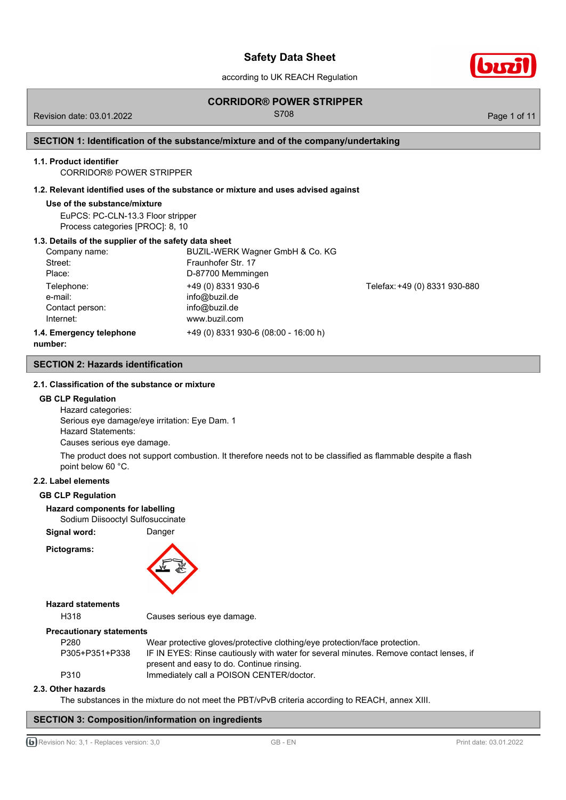according to UK REACH Regulation

## **CORRIDOR® POWER STRIPPER**

Revision date: 03.01.2022 Contract Contract Contract Contract Contract Contract Contract Contract Contract Contract Contract Contract Contract Contract Contract Contract Contract Contract Contract Contract Contract Contrac

## **SECTION 1: Identification of the substance/mixture and of the company/undertaking**

### **1.1. Product identifier**

CORRIDOR® POWER STRIPPER

### **1.2. Relevant identified uses of the substance or mixture and uses advised against**

### **Use of the substance/mixture**

EuPCS: PC-CLN-13.3 Floor stripper Process categories [PROC]: 8, 10

## **1.3. Details of the supplier of the safety data sheet**

| Company name:                                                                                                                               | BUZIL-WERK Wagner GmbH & Co. KG      |                               |
|---------------------------------------------------------------------------------------------------------------------------------------------|--------------------------------------|-------------------------------|
| Street:                                                                                                                                     | Fraunhofer Str. 17                   |                               |
| Place:                                                                                                                                      | D-87700 Memmingen                    |                               |
| Telephone:<br>e-mail:                                                                                                                       | +49 (0) 8331 930-6<br>info@buzil.de  | Telefax: +49 (0) 8331 930-880 |
| Contact person:                                                                                                                             | info@buzil.de                        |                               |
| Internet:                                                                                                                                   | www.buzil.com                        |                               |
| 1.4. Emergency telephone<br>the contract of the contract of the contract of the contract of the contract of the contract of the contract of | +49 (0) 8331 930-6 (08:00 - 16:00 h) |                               |

**number:**

**SECTION 2: Hazards identification**

### **2.1. Classification of the substance or mixture**

## **GB CLP Regulation**

Hazard categories: Serious eye damage/eye irritation: Eye Dam. 1 Hazard Statements: Causes serious eye damage.

The product does not support combustion. It therefore needs not to be classified as flammable despite a flash point below 60 °C.

### **2.2. Label elements**

### **GB CLP Regulation**

### **Hazard components for labelling**

Sodium Diisooctyl Sulfosuccinate

Signal word: Danger

**Pictograms:**



### **Hazard statements**

H318 Causes serious eye damage.

### **Precautionary statements**

| P280           | Wear protective gloves/protective clothing/eye protection/face protection.             |
|----------------|----------------------------------------------------------------------------------------|
| P305+P351+P338 | IF IN EYES: Rinse cautiously with water for several minutes. Remove contact lenses, if |
|                | present and easy to do. Continue rinsing.                                              |
| P310           | Immediately call a POISON CENTER/doctor.                                               |
|                |                                                                                        |

### **2.3. Other hazards**

The substances in the mixture do not meet the PBT/vPvB criteria according to REACH, annex XIII.

## **SECTION 3: Composition/information on ingredients**

G Revision No: 3,1 - Replaces version: 3,0 GB - EN GB - EN Print date: 03.01.2022

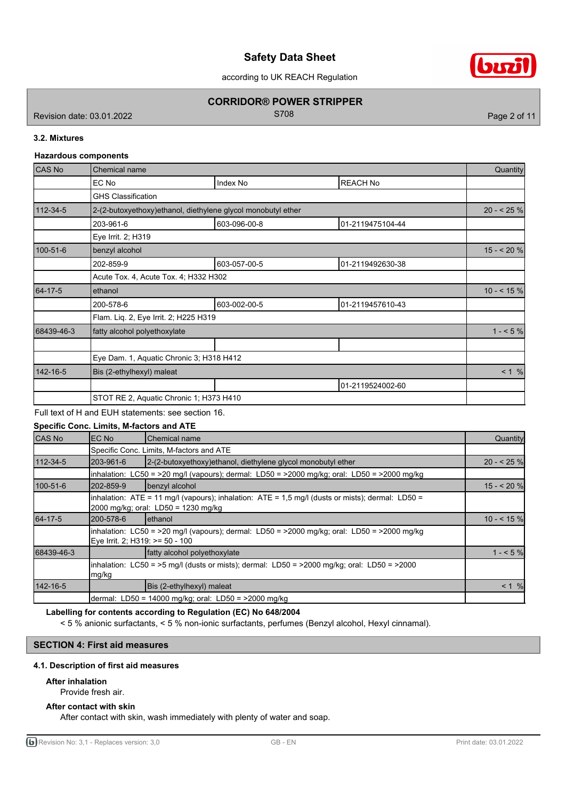according to UK REACH Regulation

## **CORRIDOR® POWER STRIPPER**

Revision date: 03.01.2022 **S708** Revision date: 03.01.2022

biri

## **3.2. Mixtures**

## **Hazardous components**

| CAS No         | Chemical name                                                 |              |                  |            |  |  |
|----------------|---------------------------------------------------------------|--------------|------------------|------------|--|--|
|                | EC No                                                         | Index No     | <b>REACH No</b>  |            |  |  |
|                | <b>GHS Classification</b>                                     |              |                  |            |  |  |
| $112 - 34 - 5$ | 2-(2-butoxyethoxy) ethanol, diethylene glycol monobutyl ether |              |                  | $20 - 25%$ |  |  |
|                | 203-961-6                                                     | 603-096-00-8 | 01-2119475104-44 |            |  |  |
|                | Eye Irrit. 2; H319                                            |              |                  |            |  |  |
| $100 - 51 - 6$ | benzyl alcohol                                                |              |                  |            |  |  |
|                | 202-859-9                                                     | 603-057-00-5 | 01-2119492630-38 |            |  |  |
|                | Acute Tox. 4, Acute Tox. 4; H332 H302                         |              |                  |            |  |  |
| 64-17-5        | ethanol                                                       |              |                  |            |  |  |
|                | 200-578-6                                                     | 603-002-00-5 | 01-2119457610-43 |            |  |  |
|                | Flam. Liq. 2, Eye Irrit. 2; H225 H319                         |              |                  |            |  |  |
| 68439-46-3     | fatty alcohol polyethoxylate                                  |              |                  | $1 - 5\%$  |  |  |
|                |                                                               |              |                  |            |  |  |
|                | Eye Dam. 1, Aquatic Chronic 3; H318 H412                      |              |                  |            |  |  |
| 142-16-5       | Bis (2-ethylhexyl) maleat                                     |              |                  | < 1 %      |  |  |
|                |                                                               |              | 01-2119524002-60 |            |  |  |
|                | STOT RE 2, Aquatic Chronic 1; H373 H410                       |              |                  |            |  |  |

Full text of H and EUH statements: see section 16.

**Specific Conc. Limits, M-factors and ATE**

| CAS No     | EC No                           | lChemical name                                                                                                                              | Quantity     |
|------------|---------------------------------|---------------------------------------------------------------------------------------------------------------------------------------------|--------------|
|            |                                 | Specific Conc. Limits, M-factors and ATE                                                                                                    |              |
| 112-34-5   | 203-961-6                       | 2-(2-butoxyethoxy) ethanol, diethylene glycol monobutyl ether                                                                               | $20 - 525$ % |
|            |                                 | $\lambda$ inhalation: LC50 = >20 mg/l (vapours); dermal: LD50 = >2000 mg/kg; oral: LD50 = >2000 mg/kg                                       |              |
| 100-51-6   | 202-859-9                       | benzyl alcohol                                                                                                                              | $15 - 20%$   |
|            |                                 | inhalation: $ATE = 11$ mg/l (vapours); inhalation: $ATE = 1.5$ mg/l (dusts or mists); dermal: LD50 =<br>2000 mg/kg; oral: LD50 = 1230 mg/kg |              |
| 64-17-5    | 200-578-6                       | lethanol                                                                                                                                    | $10 - 55%$   |
|            | Eye Irrit. 2; H319: >= 50 - 100 | inhalation: LC50 = >20 mg/l (vapours); dermal: LD50 = >2000 mg/kg; oral: LD50 = >2000 mg/kg                                                 |              |
| 68439-46-3 |                                 | fatty alcohol polyethoxylate                                                                                                                | $1 - 5%$     |
|            | ∣mg/kg                          | inhalation: $LC50 = 5$ mg/l (dusts or mists); dermal: $LD50 = 2000$ mg/kg; oral: $LD50 = 2000$                                              |              |
| 142-16-5   |                                 | Bis (2-ethylhexyl) maleat                                                                                                                   | $< 1$ %      |
|            |                                 | dermal: LD50 = 14000 mg/kg; oral: LD50 = >2000 mg/kg                                                                                        |              |

## **Labelling for contents according to Regulation (EC) No 648/2004**

< 5 % anionic surfactants, < 5 % non-ionic surfactants, perfumes (Benzyl alcohol, Hexyl cinnamal).

## **SECTION 4: First aid measures**

### **4.1. Description of first aid measures**

### **After inhalation**

Provide fresh air.

## **After contact with skin**

After contact with skin, wash immediately with plenty of water and soap.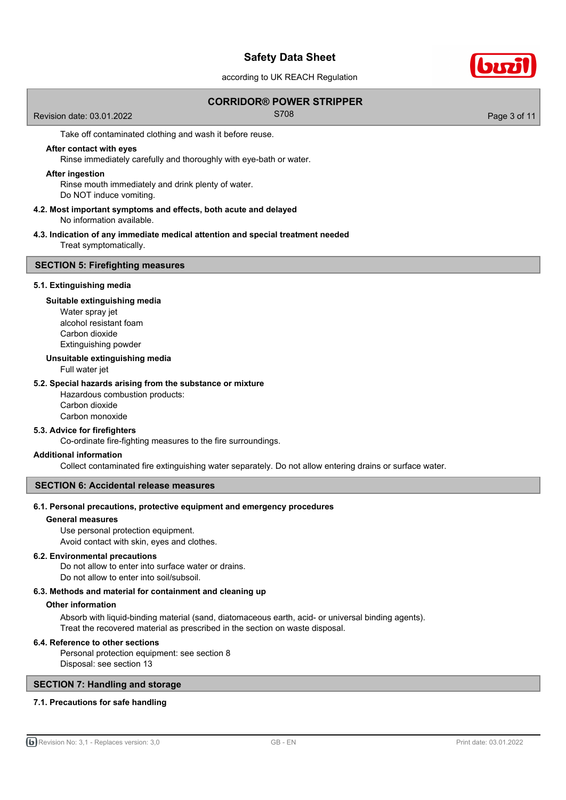according to UK REACH Regulation

## **CORRIDOR® POWER STRIPPER**

Revision date: 03.01.2022 **S708** Revision date: 03.01.2022

Take off contaminated clothing and wash it before reuse.

## **After contact with eyes**

Rinse immediately carefully and thoroughly with eye-bath or water.

### **After ingestion**

Rinse mouth immediately and drink plenty of water. Do NOT induce vomiting.

### **4.2. Most important symptoms and effects, both acute and delayed** No information available.

### **4.3. Indication of any immediate medical attention and special treatment needed** Treat symptomatically.

### **SECTION 5: Firefighting measures**

### **5.1. Extinguishing media**

### **Suitable extinguishing media**

Water spray jet alcohol resistant foam Carbon dioxide Extinguishing powder

### **Unsuitable extinguishing media**

Full water jet

### **5.2. Special hazards arising from the substance or mixture**

Hazardous combustion products: Carbon dioxide Carbon monoxide

# **5.3. Advice for firefighters**

Co-ordinate fire-fighting measures to the fire surroundings.

### **Additional information**

Collect contaminated fire extinguishing water separately. Do not allow entering drains or surface water.

### **SECTION 6: Accidental release measures**

### **6.1. Personal precautions, protective equipment and emergency procedures**

## **General measures**

Use personal protection equipment.

Avoid contact with skin, eyes and clothes.

## **6.2. Environmental precautions**

Do not allow to enter into surface water or drains. Do not allow to enter into soil/subsoil.

### **6.3. Methods and material for containment and cleaning up**

### **Other information**

Absorb with liquid-binding material (sand, diatomaceous earth, acid- or universal binding agents). Treat the recovered material as prescribed in the section on waste disposal.

### **6.4. Reference to other sections**

Personal protection equipment: see section 8 Disposal: see section 13

## **SECTION 7: Handling and storage**

## **7.1. Precautions for safe handling**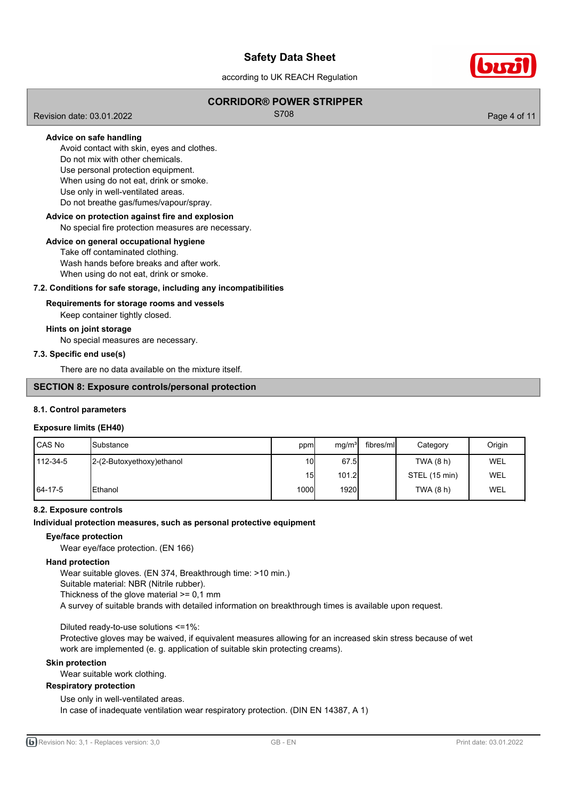according to UK REACH Regulation

## **CORRIDOR® POWER STRIPPER**

Revision date: 03.01.2022 **S708** Revision date: 03.01.2022

## **Advice on safe handling**

Avoid contact with skin, eyes and clothes. Do not mix with other chemicals. Use personal protection equipment. When using do not eat, drink or smoke. Use only in well-ventilated areas.

Do not breathe gas/fumes/vapour/spray.

# **Advice on protection against fire and explosion**

### No special fire protection measures are necessary.

## **Advice on general occupational hygiene**

Take off contaminated clothing. Wash hands before breaks and after work.

When using do not eat, drink or smoke.

## **7.2. Conditions for safe storage, including any incompatibilities**

### **Requirements for storage rooms and vessels**

Keep container tightly closed.

### **Hints on joint storage**

No special measures are necessary.

### **7.3. Specific end use(s)**

There are no data available on the mixture itself.

## **SECTION 8: Exposure controls/personal protection**

### **8.1. Control parameters**

### **Exposure limits (EH40)**

| l CAS No | <b>I</b> Substance        | ppm           | mg/m <sup>3</sup> | fibres/ml | Category      | Origin     |
|----------|---------------------------|---------------|-------------------|-----------|---------------|------------|
| 112-34-5 | 2-(2-Butoxyethoxy)ethanol | 10I           | 67.5              |           | TWA (8 h)     | WEL        |
|          |                           | 15            | 101.2             |           | STEL (15 min) | <b>WEL</b> |
| 64-17-5  | <b>IEthanol</b>           | 1000 <b>l</b> | 1920              |           | TWA (8 h)     | WEL        |

## **8.2. Exposure controls**

### **Individual protection measures, such as personal protective equipment**

## **Eye/face protection**

Wear eye/face protection. (EN 166)

### **Hand protection**

Wear suitable gloves. (EN 374, Breakthrough time: >10 min.)

Suitable material: NBR (Nitrile rubber).

Thickness of the glove material >= 0,1 mm

A survey of suitable brands with detailed information on breakthrough times is available upon request.

Diluted ready-to-use solutions <=1%:

Protective gloves may be waived, if equivalent measures allowing for an increased skin stress because of wet work are implemented (e. g. application of suitable skin protecting creams).

### **Skin protection**

Wear suitable work clothing.

### **Respiratory protection**

Use only in well-ventilated areas.

In case of inadequate ventilation wear respiratory protection. (DIN EN 14387, A 1)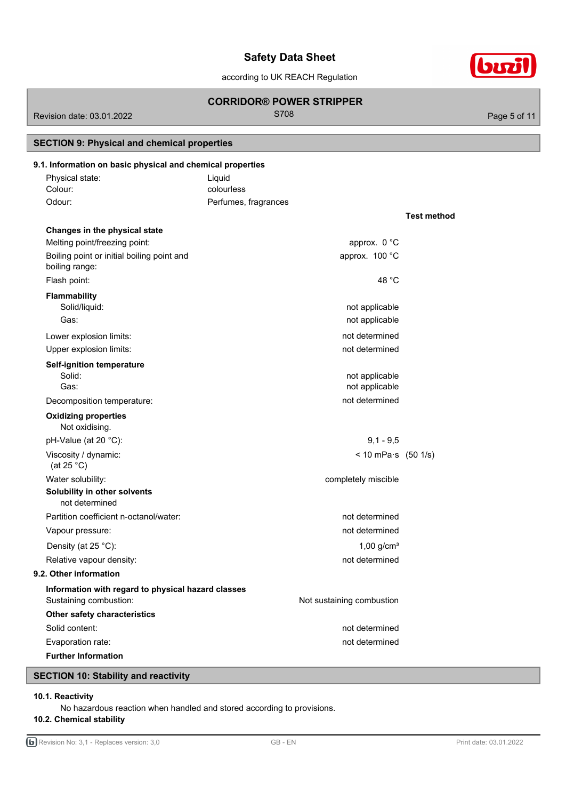according to UK REACH Regulation

## **CORRIDOR® POWER STRIPPER**

Revision date: 03.01.2022 **S708** Revision date: 03.01.2022

**SECTION 9: Physical and chemical properties**

| 9.1. Information on basic physical and chemical properties<br>Physical state: | Liquid                      |             |
|-------------------------------------------------------------------------------|-----------------------------|-------------|
| Colour:                                                                       | colourless                  |             |
| Odour:                                                                        | Perfumes, fragrances        |             |
|                                                                               |                             | Test method |
| Changes in the physical state                                                 |                             |             |
| Melting point/freezing point:                                                 | approx. 0 °C                |             |
| Boiling point or initial boiling point and<br>boiling range:                  | approx. 100 °C              |             |
| Flash point:                                                                  | 48 °C                       |             |
| <b>Flammability</b>                                                           |                             |             |
| Solid/liquid:                                                                 | not applicable              |             |
| Gas:                                                                          | not applicable              |             |
| Lower explosion limits:                                                       | not determined              |             |
| Upper explosion limits:                                                       | not determined              |             |
| Self-ignition temperature                                                     |                             |             |
| Solid:                                                                        | not applicable              |             |
| Gas:                                                                          | not applicable              |             |
| Decomposition temperature:                                                    | not determined              |             |
| <b>Oxidizing properties</b><br>Not oxidising.                                 |                             |             |
| pH-Value (at 20 °C):                                                          | $9,1 - 9,5$                 |             |
| Viscosity / dynamic:<br>(at 25 $^{\circ}$ C)                                  | < 10 mPa $\cdot$ s (50 1/s) |             |
| Water solubility:                                                             | completely miscible         |             |
| Solubility in other solvents<br>not determined                                |                             |             |
| Partition coefficient n-octanol/water:                                        | not determined              |             |
| Vapour pressure:                                                              | not determined              |             |
| Density (at 25 °C):                                                           | $1,00$ g/cm <sup>3</sup>    |             |
| Relative vapour density:                                                      | not determined              |             |
| 9.2. Other information                                                        |                             |             |
| Information with regard to physical hazard classes                            |                             |             |
| Sustaining combustion:                                                        | Not sustaining combustion   |             |
| Other safety characteristics                                                  |                             |             |
| Solid content:                                                                | not determined              |             |
| Evaporation rate:                                                             | not determined              |             |
| <b>Further Information</b>                                                    |                             |             |
|                                                                               |                             |             |

# **SECTION 10: Stability and reactivity**

# **10.1. Reactivity**

No hazardous reaction when handled and stored according to provisions.

# **10.2. Chemical stability**

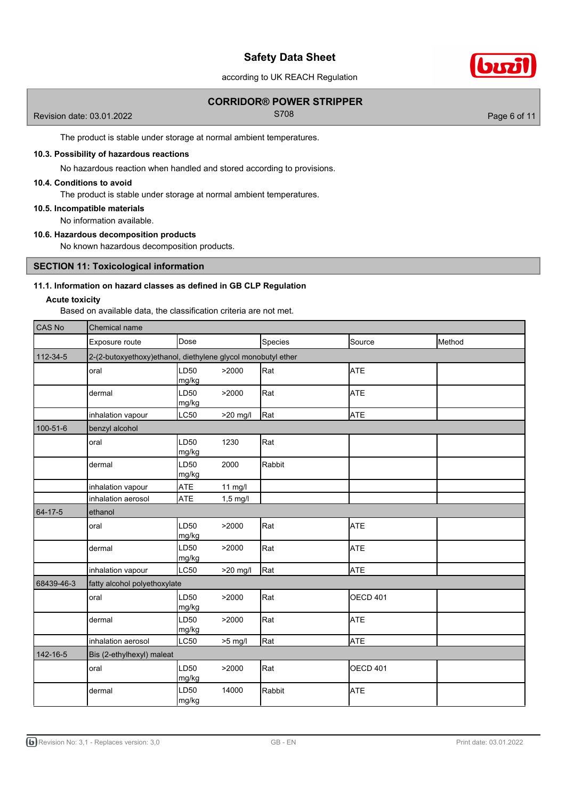according to UK REACH Regulation

## **CORRIDOR® POWER STRIPPER**

Revision date: 03.01.2022 **S708** Revision date: 03.01.2022

biri

The product is stable under storage at normal ambient temperatures.

### **10.3. Possibility of hazardous reactions**

No hazardous reaction when handled and stored according to provisions.

## **10.4. Conditions to avoid**

The product is stable under storage at normal ambient temperatures.

### **10.5. Incompatible materials**

No information available.

## **10.6. Hazardous decomposition products**

No known hazardous decomposition products.

## **SECTION 11: Toxicological information**

## **11.1. Information on hazard classes as defined in GB CLP Regulation**

### **Acute toxicity**

Based on available data, the classification criteria are not met.

| CAS No     | <b>Chemical name</b>                                         |               |            |         |                 |        |  |
|------------|--------------------------------------------------------------|---------------|------------|---------|-----------------|--------|--|
|            | Exposure route                                               | Dose          |            | Species | Source          | Method |  |
| 112-34-5   | 2-(2-butoxyethoxy)ethanol, diethylene glycol monobutyl ether |               |            |         |                 |        |  |
|            | oral                                                         | LD50<br>mg/kg | >2000      | Rat     | <b>ATE</b>      |        |  |
|            | dermal                                                       | LD50<br>mg/kg | >2000      | Rat     | <b>ATE</b>      |        |  |
|            | inhalation vapour                                            | <b>LC50</b>   | >20 mg/l   | Rat     | <b>ATE</b>      |        |  |
| 100-51-6   | benzyl alcohol                                               |               |            |         |                 |        |  |
|            | oral                                                         | LD50<br>mg/kg | 1230       | Rat     |                 |        |  |
|            | dermal                                                       | LD50<br>mg/kg | 2000       | Rabbit  |                 |        |  |
|            | inhalation vapour                                            | ATE           | 11 mg/l    |         |                 |        |  |
|            | inhalation aerosol                                           | ATE           | $1,5$ mg/l |         |                 |        |  |
| 64-17-5    | ethanol                                                      |               |            |         |                 |        |  |
|            | oral                                                         | LD50<br>mg/kg | >2000      | Rat     | <b>ATE</b>      |        |  |
|            | dermal                                                       | LD50<br>mg/kg | >2000      | Rat     | <b>ATE</b>      |        |  |
|            | inhalation vapour                                            | <b>LC50</b>   | $>20$ mg/l | Rat     | <b>ATE</b>      |        |  |
| 68439-46-3 | fatty alcohol polyethoxylate                                 |               |            |         |                 |        |  |
|            | oral                                                         | LD50<br>mg/kg | >2000      | Rat     | <b>OECD 401</b> |        |  |
|            | dermal                                                       | LD50<br>mg/kg | >2000      | Rat     | <b>ATE</b>      |        |  |
|            | inhalation aerosol                                           | LC50          | $>5$ mg/l  | Rat     | <b>ATE</b>      |        |  |
| 142-16-5   | Bis (2-ethylhexyl) maleat                                    |               |            |         |                 |        |  |
|            | oral                                                         | LD50<br>mg/kg | >2000      | Rat     | <b>OECD 401</b> |        |  |
|            | dermal                                                       | LD50<br>mg/kg | 14000      | Rabbit  | <b>ATE</b>      |        |  |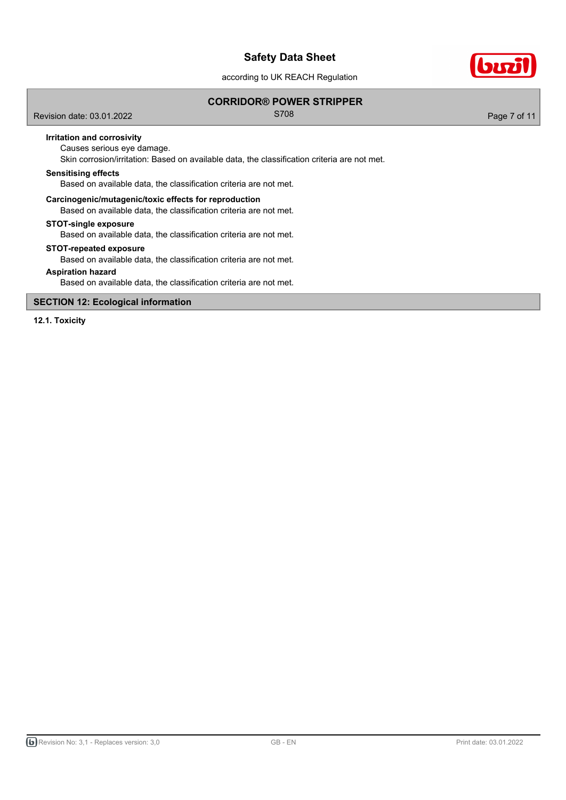according to UK REACH Regulation

## **CORRIDOR® POWER STRIPPER**

Revision date: 03.01.2022 **S708** Revision date: 03.01.2022

biri

## **Irritation and corrosivity**

Causes serious eye damage.

Skin corrosion/irritation: Based on available data, the classification criteria are not met.

### **Sensitising effects**

Based on available data, the classification criteria are not met.

## **Carcinogenic/mutagenic/toxic effects for reproduction**

Based on available data, the classification criteria are not met.

### **STOT-single exposure**

Based on available data, the classification criteria are not met.

### **STOT-repeated exposure**

Based on available data, the classification criteria are not met.

## **Aspiration hazard**

Based on available data, the classification criteria are not met.

## **SECTION 12: Ecological information**

**12.1. Toxicity**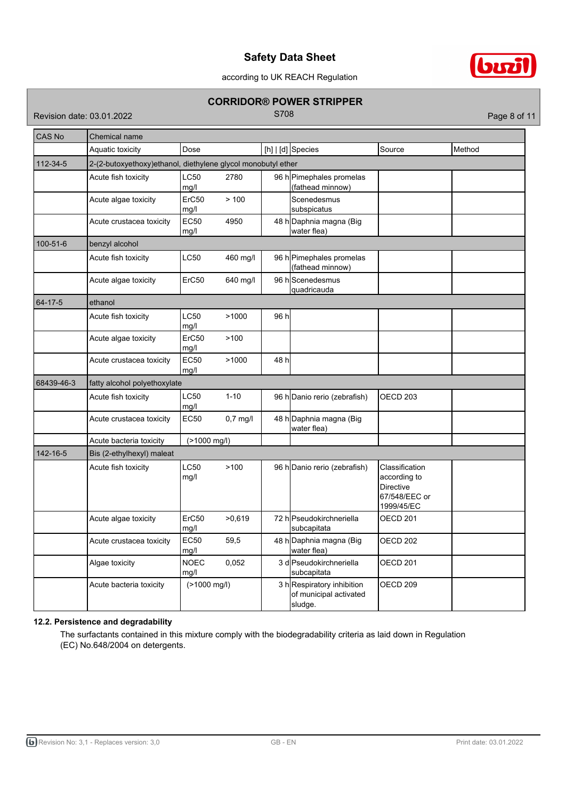

according to UK REACH Regulation

## **CORRIDOR® POWER STRIPPER**

Revision date: 03.01.2022 **S708** Revision date: 03.01.2022

| <b>CAS No</b> | Chemical name                                                |                     |            |       |                                                                |                                                                            |        |
|---------------|--------------------------------------------------------------|---------------------|------------|-------|----------------------------------------------------------------|----------------------------------------------------------------------------|--------|
|               | Aquatic toxicity                                             | Dose                |            |       | $[h]   [d]$ Species                                            | Source                                                                     | Method |
| 112-34-5      | 2-(2-butoxyethoxy)ethanol, diethylene glycol monobutyl ether |                     |            |       |                                                                |                                                                            |        |
|               | Acute fish toxicity                                          | LC50<br>mg/l        | 2780       |       | 96 h Pimephales promelas<br>(fathead minnow)                   |                                                                            |        |
|               | Acute algae toxicity                                         | ErC50<br>mg/l       | >100       |       | Scenedesmus<br>subspicatus                                     |                                                                            |        |
|               | Acute crustacea toxicity                                     | <b>EC50</b><br>mg/l | 4950       |       | 48 h Daphnia magna (Big<br>water flea)                         |                                                                            |        |
| 100-51-6      | benzyl alcohol                                               |                     |            |       |                                                                |                                                                            |        |
|               | Acute fish toxicity                                          | LC50                | 460 mg/l   |       | 96 h Pimephales promelas<br>(fathead minnow)                   |                                                                            |        |
|               | Acute algae toxicity                                         | ErC50               | 640 mg/l   |       | 96 hScenedesmus<br>quadricauda                                 |                                                                            |        |
| 64-17-5       | ethanol                                                      |                     |            |       |                                                                |                                                                            |        |
|               | Acute fish toxicity                                          | LC50<br>mg/l        | >1000      | 96 h  |                                                                |                                                                            |        |
|               | Acute algae toxicity                                         | ErC50<br>mg/l       | >100       |       |                                                                |                                                                            |        |
|               | Acute crustacea toxicity                                     | <b>EC50</b><br>mg/l | >1000      | 48 hl |                                                                |                                                                            |        |
| 68439-46-3    | fatty alcohol polyethoxylate                                 |                     |            |       |                                                                |                                                                            |        |
|               | Acute fish toxicity                                          | LC50<br>mg/l        | $1 - 10$   |       | 96 h Danio rerio (zebrafish)                                   | OECD <sub>203</sub>                                                        |        |
|               | Acute crustacea toxicity                                     | <b>EC50</b>         | $0,7$ mg/l |       | 48 h Daphnia magna (Big<br>water flea)                         |                                                                            |        |
|               | Acute bacteria toxicity                                      | (>1000 mg/l)        |            |       |                                                                |                                                                            |        |
| 142-16-5      | Bis (2-ethylhexyl) maleat                                    |                     |            |       |                                                                |                                                                            |        |
|               | Acute fish toxicity                                          | LC50<br>mg/l        | >100       |       | 96 h Danio rerio (zebrafish)                                   | Classification<br>according to<br>Directive<br>67/548/EEC or<br>1999/45/EC |        |
|               | Acute algae toxicity                                         | ErC50<br>mg/l       | >0.619     |       | 72 h Pseudokirchneriella<br>subcapitata                        | OECD 201                                                                   |        |
|               | Acute crustacea toxicity                                     | <b>EC50</b><br>mg/l | 59,5       |       | 48 h Daphnia magna (Big<br>water flea)                         | OECD <sub>202</sub>                                                        |        |
|               | Algae toxicity                                               | <b>NOEC</b><br>mg/l | 0,052      |       | 3 d Pseudokirchneriella<br>subcapitata                         | OECD 201                                                                   |        |
|               | Acute bacteria toxicity                                      | (>1000 mg/l)        |            |       | 3 hRespiratory inhibition<br>of municipal activated<br>sludge. | OECD <sub>209</sub>                                                        |        |

## **12.2. Persistence and degradability**

The surfactants contained in this mixture comply with the biodegradability criteria as laid down in Regulation (EC) No.648/2004 on detergents.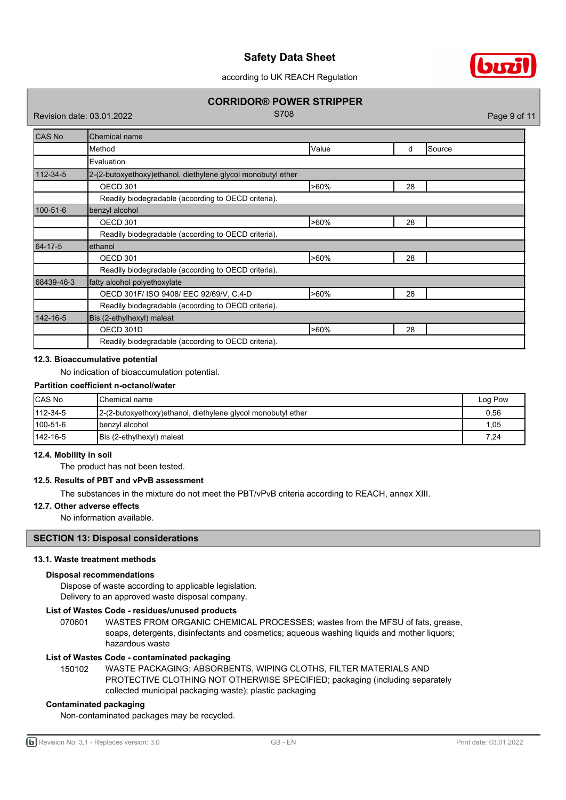

according to UK REACH Regulation

## **CORRIDOR® POWER STRIPPER**

Revision date: 03.01.2022 **S708** Revision date: 03.01.2022

| <b>CAS No</b> | Chemical name                                                 |         |    |         |  |
|---------------|---------------------------------------------------------------|---------|----|---------|--|
|               | Method                                                        | Value   | d  | ISource |  |
|               | Evaluation                                                    |         |    |         |  |
| 112-34-5      | 2-(2-butoxyethoxy) ethanol, diethylene glycol monobutyl ether |         |    |         |  |
|               | OECD 301                                                      | $>60\%$ | 28 |         |  |
|               | Readily biodegradable (according to OECD criteria).           |         |    |         |  |
| 100-51-6      | benzyl alcohol                                                |         |    |         |  |
|               | OECD 301                                                      | $>60\%$ | 28 |         |  |
|               | Readily biodegradable (according to OECD criteria).           |         |    |         |  |
| 64-17-5       | ethanol                                                       |         |    |         |  |
|               | OECD 301                                                      | $>60\%$ | 28 |         |  |
|               | Readily biodegradable (according to OECD criteria).           |         |    |         |  |
| 68439-46-3    | fatty alcohol polyethoxylate                                  |         |    |         |  |
|               | OECD 301F/ ISO 9408/ EEC 92/69/V, C.4-D                       | $>60\%$ | 28 |         |  |
|               | Readily biodegradable (according to OECD criteria).           |         |    |         |  |
| 142-16-5      | Bis (2-ethylhexyl) maleat                                     |         |    |         |  |
|               | OECD 301D                                                     | $>60\%$ | 28 |         |  |
|               | Readily biodegradable (according to OECD criteria).           |         |    |         |  |

### **12.3. Bioaccumulative potential**

No indication of bioaccumulation potential.

## **Partition coefficient n-octanol/water**

| <b>CAS No</b>    | <b>IChemical name</b>                                         | Log Pow |
|------------------|---------------------------------------------------------------|---------|
| $ 112 - 34 - 5 $ | 2-(2-butoxyethoxy) ethanol, diethylene glycol monobutyl ether | 0.56    |
| $100 - 51 - 6$   | Ibenzyl alcohol                                               | 1,05    |
| $142 - 16 - 5$   | Bis (2-ethylhexyl) maleat                                     | 7,24    |

### **12.4. Mobility in soil**

The product has not been tested.

## **12.5. Results of PBT and vPvB assessment**

The substances in the mixture do not meet the PBT/vPvB criteria according to REACH, annex XIII.

## **12.7. Other adverse effects**

No information available.

## **SECTION 13: Disposal considerations**

### **13.1. Waste treatment methods**

## **Disposal recommendations**

Dispose of waste according to applicable legislation. Delivery to an approved waste disposal company.

## **List of Wastes Code - residues/unused products**

070601 WASTES FROM ORGANIC CHEMICAL PROCESSES; wastes from the MFSU of fats, grease, soaps, detergents, disinfectants and cosmetics; aqueous washing liquids and mother liquors; hazardous waste

## **List of Wastes Code - contaminated packaging**

WASTE PACKAGING; ABSORBENTS, WIPING CLOTHS, FILTER MATERIALS AND PROTECTIVE CLOTHING NOT OTHERWISE SPECIFIED; packaging (including separately collected municipal packaging waste); plastic packaging 150102

## **Contaminated packaging**

Non-contaminated packages may be recycled.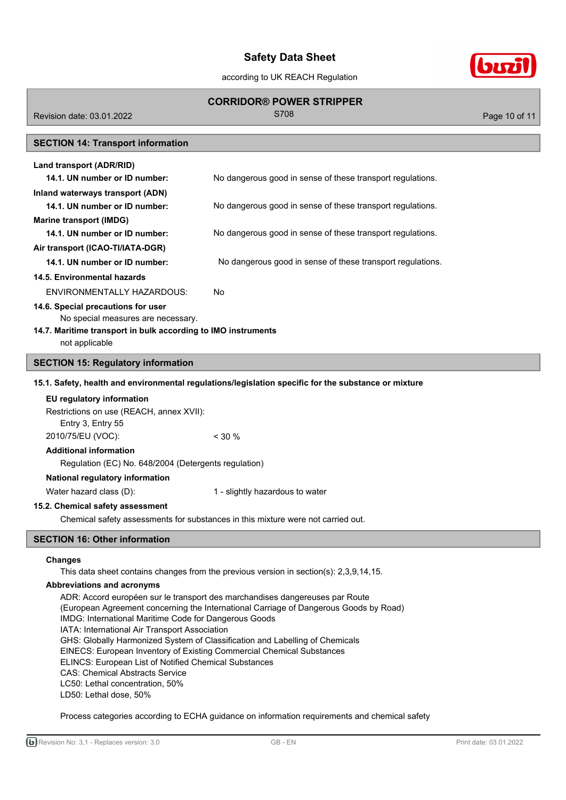according to UK REACH Regulation

# **CORRIDOR® POWER STRIPPER**

Revision date: 03.01.2022 **S708** Revision date: 03.01.2022

## **SECTION 14: Transport information**

| Land transport (ADR/RID)                                                 |                                                            |
|--------------------------------------------------------------------------|------------------------------------------------------------|
| 14.1. UN number or ID number:                                            | No dangerous good in sense of these transport regulations. |
| Inland waterways transport (ADN)                                         |                                                            |
| 14.1. UN number or ID number:                                            | No dangerous good in sense of these transport regulations. |
| Marine transport (IMDG)                                                  |                                                            |
| 14.1. UN number or ID number:                                            | No dangerous good in sense of these transport regulations. |
| Air transport (ICAO-TI/IATA-DGR)                                         |                                                            |
| 14.1. UN number or ID number:                                            | No dangerous good in sense of these transport regulations. |
| 14.5. Environmental hazards                                              |                                                            |
| ENVIRONMENTALLY HAZARDOUS:                                               | No.                                                        |
| 14.6. Special precautions for user<br>No special measures are necessary. |                                                            |

## **14.7. Maritime transport in bulk according to IMO instruments**

## not applicable

## **SECTION 15: Regulatory information**

### **15.1. Safety, health and environmental regulations/legislation specific for the substance or mixture**

| EU regulatory information                |          |
|------------------------------------------|----------|
| Restrictions on use (REACH, annex XVII): |          |
| Entry 3, Entry 55                        |          |
| 2010/75/EU (VOC):                        | $<$ 30 % |
| Additional information                   |          |

## **Additional information**

Regulation (EC) No. 648/2004 (Detergents regulation)

## **National regulatory information**

Water hazard class (D): 1 - slightly hazardous to water

## **15.2. Chemical safety assessment**

Chemical safety assessments for substances in this mixture were not carried out.

## **SECTION 16: Other information**

### **Changes**

This data sheet contains changes from the previous version in section(s): 2,3,9,14,15.

### **Abbreviations and acronyms**

ADR: Accord européen sur le transport des marchandises dangereuses par Route (European Agreement concerning the International Carriage of Dangerous Goods by Road) IMDG: International Maritime Code for Dangerous Goods IATA: International Air Transport Association GHS: Globally Harmonized System of Classification and Labelling of Chemicals EINECS: European Inventory of Existing Commercial Chemical Substances ELINCS: European List of Notified Chemical Substances CAS: Chemical Abstracts Service LC50: Lethal concentration, 50% LD50: Lethal dose, 50%

## Process categories according to ECHA guidance on information requirements and chemical safety